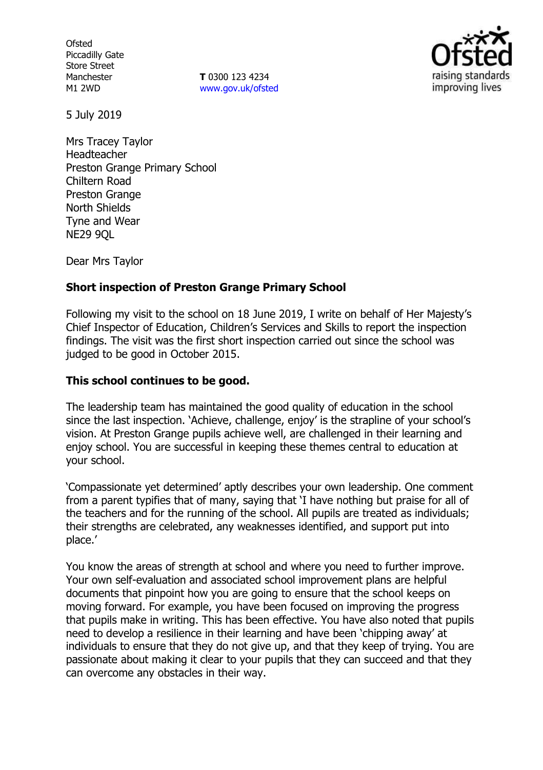**Ofsted** Piccadilly Gate Store Street Manchester M1 2WD

**T** 0300 123 4234 www.gov.uk/ofsted



5 July 2019

Mrs Tracey Taylor Headteacher Preston Grange Primary School Chiltern Road Preston Grange North Shields Tyne and Wear NE29 9QL

Dear Mrs Taylor

### **Short inspection of Preston Grange Primary School**

Following my visit to the school on 18 June 2019, I write on behalf of Her Majesty's Chief Inspector of Education, Children's Services and Skills to report the inspection findings. The visit was the first short inspection carried out since the school was judged to be good in October 2015.

### **This school continues to be good.**

The leadership team has maintained the good quality of education in the school since the last inspection. 'Achieve, challenge, enjoy' is the strapline of your school's vision. At Preston Grange pupils achieve well, are challenged in their learning and enjoy school. You are successful in keeping these themes central to education at your school.

'Compassionate yet determined' aptly describes your own leadership. One comment from a parent typifies that of many, saying that 'I have nothing but praise for all of the teachers and for the running of the school. All pupils are treated as individuals; their strengths are celebrated, any weaknesses identified, and support put into place.'

You know the areas of strength at school and where you need to further improve. Your own self-evaluation and associated school improvement plans are helpful documents that pinpoint how you are going to ensure that the school keeps on moving forward. For example, you have been focused on improving the progress that pupils make in writing. This has been effective. You have also noted that pupils need to develop a resilience in their learning and have been 'chipping away' at individuals to ensure that they do not give up, and that they keep of trying. You are passionate about making it clear to your pupils that they can succeed and that they can overcome any obstacles in their way.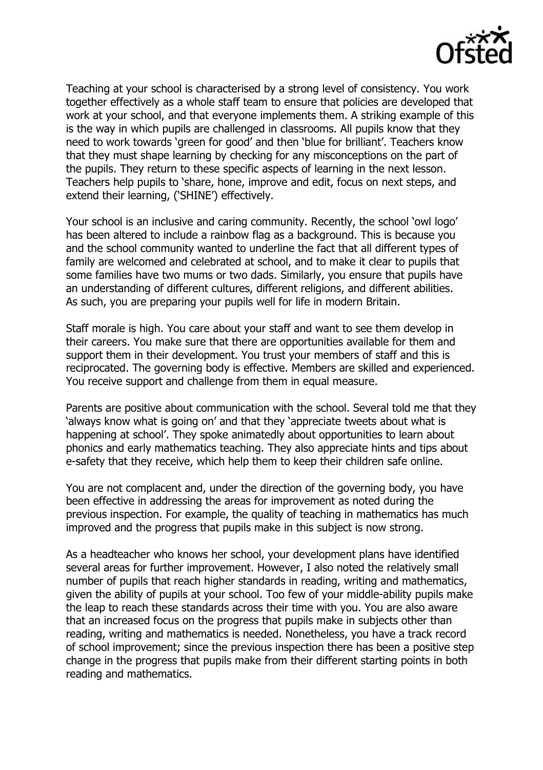

Teaching at your school is characterised by a strong level of consistency. You work together effectively as a whole staff team to ensure that policies are developed that work at your school, and that everyone implements them. A striking example of this is the way in which pupils are challenged in classrooms. All pupils know that they need to work towards 'green for good' and then 'blue for brilliant'. Teachers know that they must shape learning by checking for any misconceptions on the part of the pupils. They return to these specific aspects of learning in the next lesson. Teachers help pupils to 'share, hone, improve and edit, focus on next steps, and extend their learning, ('SHINE') effectively.

Your school is an inclusive and caring community. Recently, the school 'owl logo' has been altered to include a rainbow flag as a background. This is because you and the school community wanted to underline the fact that all different types of family are welcomed and celebrated at school, and to make it clear to pupils that some families have two mums or two dads. Similarly, you ensure that pupils have an understanding of different cultures, different religions, and different abilities. As such, you are preparing your pupils well for life in modern Britain.

Staff morale is high. You care about your staff and want to see them develop in their careers. You make sure that there are opportunities available for them and support them in their development. You trust your members of staff and this is reciprocated. The governing body is effective. Members are skilled and experienced. You receive support and challenge from them in equal measure.

Parents are positive about communication with the school. Several told me that they 'always know what is going on' and that they 'appreciate tweets about what is happening at school'. They spoke animatedly about opportunities to learn about phonics and early mathematics teaching. They also appreciate hints and tips about e-safety that they receive, which help them to keep their children safe online.

You are not complacent and, under the direction of the governing body, you have been effective in addressing the areas for improvement as noted during the previous inspection. For example, the quality of teaching in mathematics has much improved and the progress that pupils make in this subject is now strong.

As a headteacher who knows her school, your development plans have identified several areas for further improvement. However, I also noted the relatively small number of pupils that reach higher standards in reading, writing and mathematics, given the ability of pupils at your school. Too few of your middle-ability pupils make the leap to reach these standards across their time with you. You are also aware that an increased focus on the progress that pupils make in subjects other than reading, writing and mathematics is needed. Nonetheless, you have a track record of school improvement; since the previous inspection there has been a positive step change in the progress that pupils make from their different starting points in both reading and mathematics.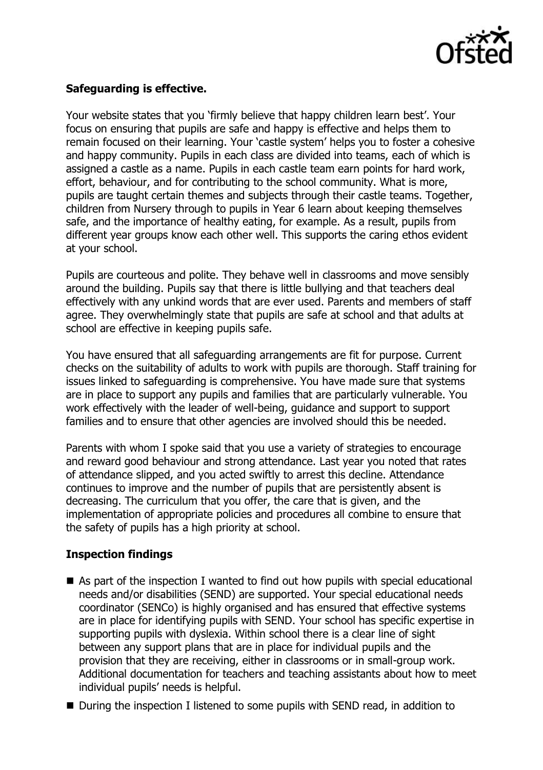

# **Safeguarding is effective.**

Your website states that you 'firmly believe that happy children learn best'. Your focus on ensuring that pupils are safe and happy is effective and helps them to remain focused on their learning. Your 'castle system' helps you to foster a cohesive and happy community. Pupils in each class are divided into teams, each of which is assigned a castle as a name. Pupils in each castle team earn points for hard work, effort, behaviour, and for contributing to the school community. What is more, pupils are taught certain themes and subjects through their castle teams. Together, children from Nursery through to pupils in Year 6 learn about keeping themselves safe, and the importance of healthy eating, for example. As a result, pupils from different year groups know each other well. This supports the caring ethos evident at your school.

Pupils are courteous and polite. They behave well in classrooms and move sensibly around the building. Pupils say that there is little bullying and that teachers deal effectively with any unkind words that are ever used. Parents and members of staff agree. They overwhelmingly state that pupils are safe at school and that adults at school are effective in keeping pupils safe.

You have ensured that all safeguarding arrangements are fit for purpose. Current checks on the suitability of adults to work with pupils are thorough. Staff training for issues linked to safeguarding is comprehensive. You have made sure that systems are in place to support any pupils and families that are particularly vulnerable. You work effectively with the leader of well-being, guidance and support to support families and to ensure that other agencies are involved should this be needed.

Parents with whom I spoke said that you use a variety of strategies to encourage and reward good behaviour and strong attendance. Last year you noted that rates of attendance slipped, and you acted swiftly to arrest this decline. Attendance continues to improve and the number of pupils that are persistently absent is decreasing. The curriculum that you offer, the care that is given, and the implementation of appropriate policies and procedures all combine to ensure that the safety of pupils has a high priority at school.

#### **Inspection findings**

- As part of the inspection I wanted to find out how pupils with special educational needs and/or disabilities (SEND) are supported. Your special educational needs coordinator (SENCo) is highly organised and has ensured that effective systems are in place for identifying pupils with SEND. Your school has specific expertise in supporting pupils with dyslexia. Within school there is a clear line of sight between any support plans that are in place for individual pupils and the provision that they are receiving, either in classrooms or in small-group work. Additional documentation for teachers and teaching assistants about how to meet individual pupils' needs is helpful.
- During the inspection I listened to some pupils with SEND read, in addition to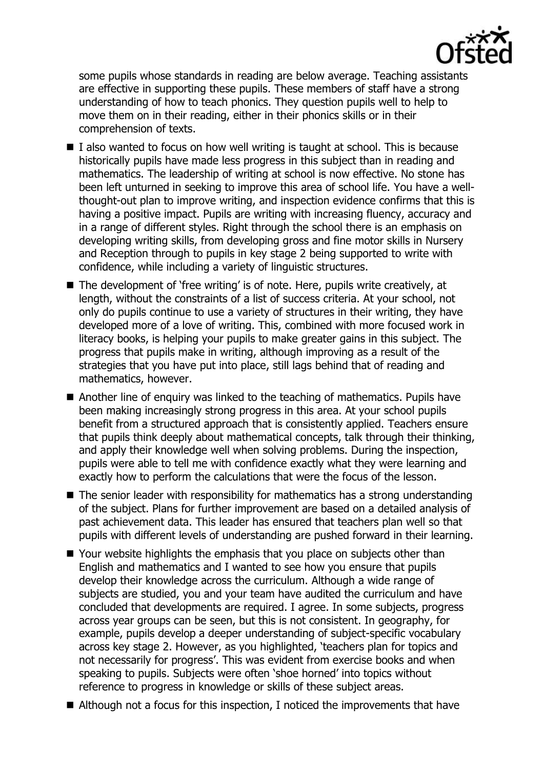

some pupils whose standards in reading are below average. Teaching assistants are effective in supporting these pupils. These members of staff have a strong understanding of how to teach phonics. They question pupils well to help to move them on in their reading, either in their phonics skills or in their comprehension of texts.

- $\blacksquare$  I also wanted to focus on how well writing is taught at school. This is because historically pupils have made less progress in this subject than in reading and mathematics. The leadership of writing at school is now effective. No stone has been left unturned in seeking to improve this area of school life. You have a wellthought-out plan to improve writing, and inspection evidence confirms that this is having a positive impact. Pupils are writing with increasing fluency, accuracy and in a range of different styles. Right through the school there is an emphasis on developing writing skills, from developing gross and fine motor skills in Nursery and Reception through to pupils in key stage 2 being supported to write with confidence, while including a variety of linguistic structures.
- The development of 'free writing' is of note. Here, pupils write creatively, at length, without the constraints of a list of success criteria. At your school, not only do pupils continue to use a variety of structures in their writing, they have developed more of a love of writing. This, combined with more focused work in literacy books, is helping your pupils to make greater gains in this subject. The progress that pupils make in writing, although improving as a result of the strategies that you have put into place, still lags behind that of reading and mathematics, however.
- Another line of enquiry was linked to the teaching of mathematics. Pupils have been making increasingly strong progress in this area. At your school pupils benefit from a structured approach that is consistently applied. Teachers ensure that pupils think deeply about mathematical concepts, talk through their thinking, and apply their knowledge well when solving problems. During the inspection, pupils were able to tell me with confidence exactly what they were learning and exactly how to perform the calculations that were the focus of the lesson.
- $\blacksquare$  The senior leader with responsibility for mathematics has a strong understanding of the subject. Plans for further improvement are based on a detailed analysis of past achievement data. This leader has ensured that teachers plan well so that pupils with different levels of understanding are pushed forward in their learning.
- Your website highlights the emphasis that you place on subjects other than English and mathematics and I wanted to see how you ensure that pupils develop their knowledge across the curriculum. Although a wide range of subjects are studied, you and your team have audited the curriculum and have concluded that developments are required. I agree. In some subjects, progress across year groups can be seen, but this is not consistent. In geography, for example, pupils develop a deeper understanding of subject-specific vocabulary across key stage 2. However, as you highlighted, 'teachers plan for topics and not necessarily for progress'. This was evident from exercise books and when speaking to pupils. Subjects were often 'shoe horned' into topics without reference to progress in knowledge or skills of these subject areas.
- Although not a focus for this inspection, I noticed the improvements that have